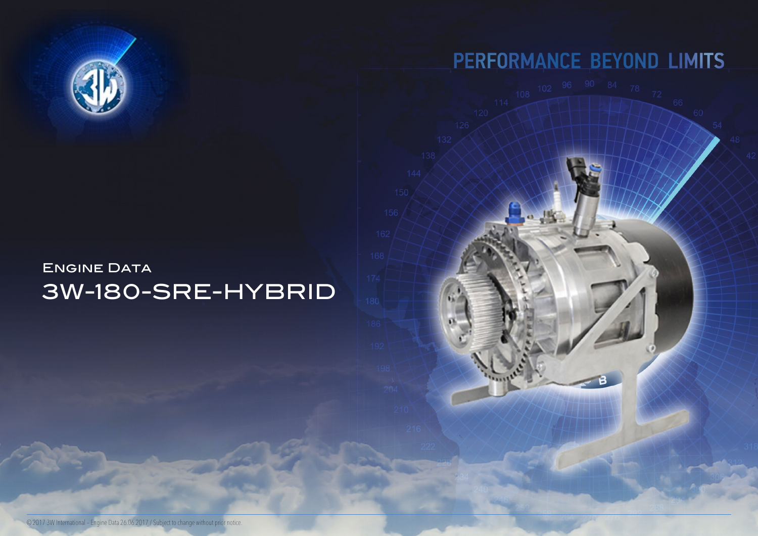## ENGINE DATA 3W-180-SRE-HYBRID



# PERFORMANCE BEYOND LIMITS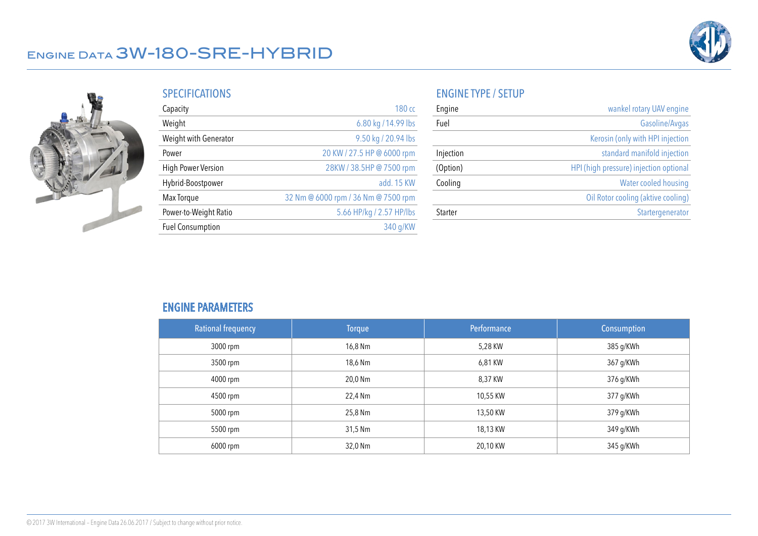

### Engine Data 3W-180-SRE-HYBRID



| <b>SPECIFICATIONS</b> |  |  |
|-----------------------|--|--|
|                       |  |  |
|                       |  |  |
|                       |  |  |

| Capacity                | 180 cc                              |
|-------------------------|-------------------------------------|
| Weight                  | 6.80 kg / 14.99 lbs                 |
| Weight with Generator   | 9.50 kg / 20.94 lbs                 |
| Power                   | 20 KW / 27.5 HP @ 6000 rpm          |
| High Power Version      | 28KW / 38.5HP @ 7500 rpm            |
| Hybrid-Boostpower       | add. 15 KW                          |
| Max Torque              | 32 Nm @ 6000 rpm / 36 Nm @ 7500 rpm |
| Power-to-Weight Ratio   | 5.66 HP/kg / 2.57 HP/lbs            |
| <b>Fuel Consumption</b> | 340 g/KW                            |

#### ENGINE TYPE / SETUP

| Engine    | wankel rotary UAV engine               |
|-----------|----------------------------------------|
| Fuel      | Gasoline/Avgas                         |
|           | Kerosin (only with HPI injection       |
| Injection | standard manifold injection            |
| (Option)  | HPI (high pressure) injection optional |
| Cooling   | Water cooled housing                   |
|           | Oil Rotor cooling (aktive cooling)     |
| Starter   | Startergenerator                       |

#### ENGINE PARAMETERS

| <b>Rational frequency</b> | <b>Torque</b> | Performance | Consumption |
|---------------------------|---------------|-------------|-------------|
| 3000 rpm                  | 16,8 Nm       | 5,28 KW     | 385 g/KWh   |
| 3500 rpm                  | 18,6 Nm       | 6,81 KW     | 367 g/KWh   |
| 4000 rpm                  | 20,0 Nm       | 8,37 KW     | 376 g/KWh   |
| 4500 rpm                  | 22,4 Nm       | 10,55 KW    | 377 g/KWh   |
| 5000 rpm                  | 25,8 Nm       | 13,50 KW    | 379 g/KWh   |
| 5500 rpm                  | 31,5 Nm       | 18,13 KW    | 349 g/KWh   |
| 6000 rpm                  | 32,0 Nm       | 20,10 KW    | 345 g/KWh   |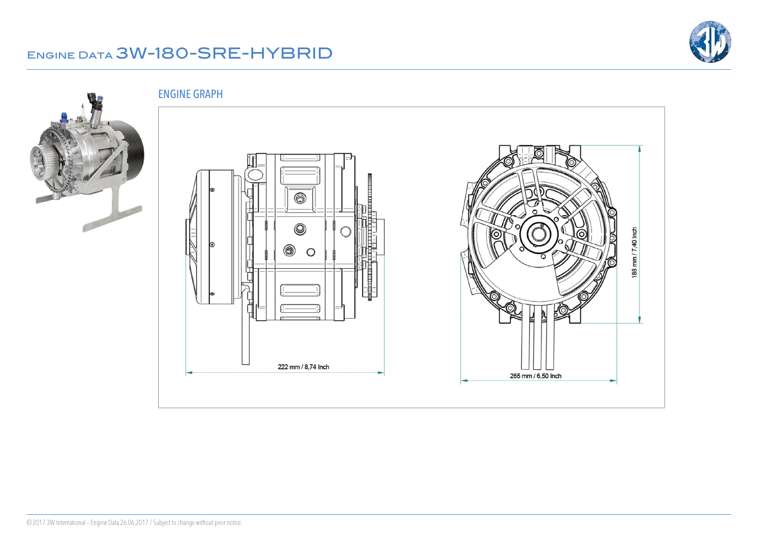### Engine Data 3W-180-SRE-HYBRID



ENGINE GRAPH



6  $\circledcirc$  $\circ$ **Longitudinal** 

222 mm / 8,74 Inch